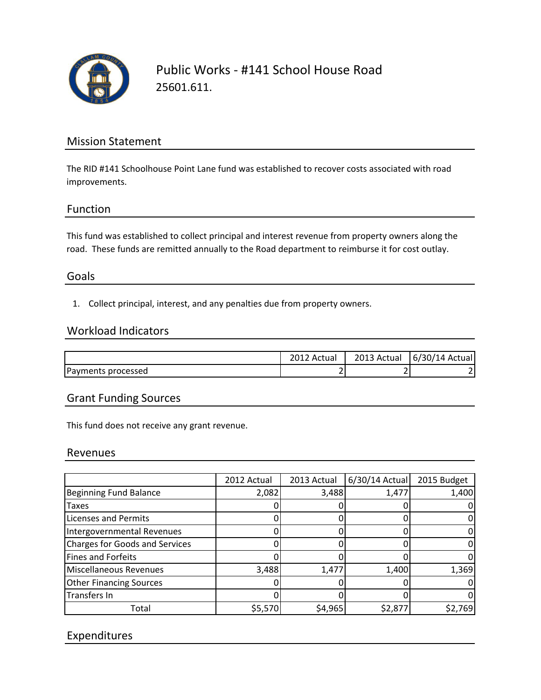

Public Works - #141 School House Road 25601.611.

# Mission Statement

The RID #141 Schoolhouse Point Lane fund was established to recover costs associated with road improvements.

## Function

This fund was established to collect principal and interest revenue from property owners along the road. These funds are remitted annually to the Road department to reimburse it for cost outlay.

## Goals

1. Collect principal, interest, and any penalties due from property owners.

#### Workload Indicators

|                    | Actual | 2013 Actual | 6/30/14 Actual |
|--------------------|--------|-------------|----------------|
| Payments processed | -      |             |                |

## Grant Funding Sources

This fund does not receive any grant revenue.

#### Revenues

|                                       | 2012 Actual | 2013 Actual | $6/30/14$ Actual | 2015 Budget |
|---------------------------------------|-------------|-------------|------------------|-------------|
| <b>Beginning Fund Balance</b>         | 2,082       | 3,488       | 1,477            | 1,400       |
| <b>Taxes</b>                          |             |             |                  |             |
| <b>Licenses and Permits</b>           |             |             |                  |             |
| Intergovernmental Revenues            |             |             |                  |             |
| <b>Charges for Goods and Services</b> |             |             |                  |             |
| <b>Fines and Forfeits</b>             |             |             |                  |             |
| Miscellaneous Revenues                | 3,488       | 1,477       | 1,400            | 1,369       |
| <b>Other Financing Sources</b>        |             |             |                  |             |
| Transfers In                          |             |             |                  |             |
| Total                                 | \$5,570     | \$4,965     | \$2,877          | \$2,769     |

# Expenditures